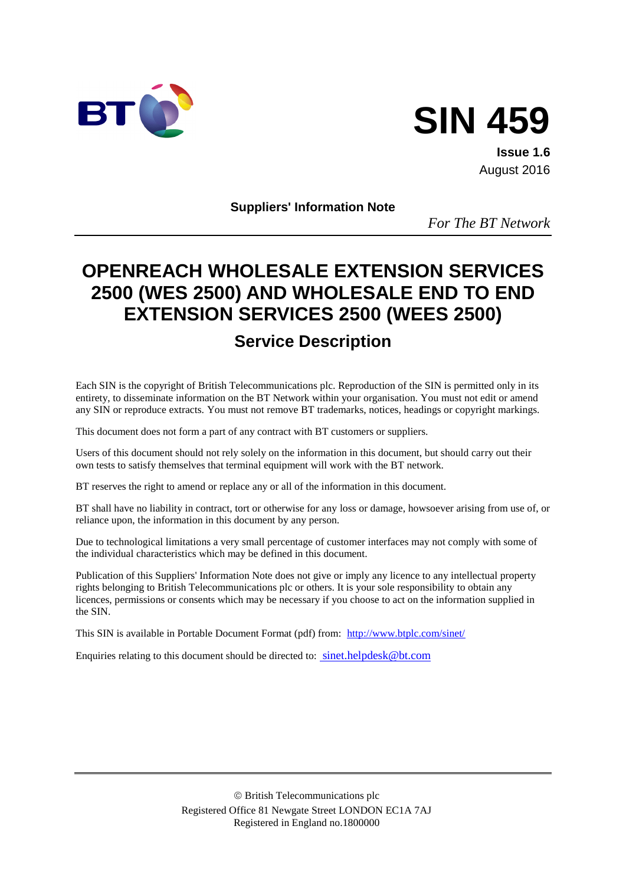



**Issue 1.6** August 2016

**Suppliers' Information Note**

*For The BT Network*

# **OPENREACH WHOLESALE EXTENSION SERVICES 2500 (WES 2500) AND WHOLESALE END TO END EXTENSION SERVICES 2500 (WEES 2500)**

## **Service Description**

Each SIN is the copyright of British Telecommunications plc. Reproduction of the SIN is permitted only in its entirety, to disseminate information on the BT Network within your organisation. You must not edit or amend any SIN or reproduce extracts. You must not remove BT trademarks, notices, headings or copyright markings.

This document does not form a part of any contract with BT customers or suppliers.

Users of this document should not rely solely on the information in this document, but should carry out their own tests to satisfy themselves that terminal equipment will work with the BT network.

BT reserves the right to amend or replace any or all of the information in this document.

BT shall have no liability in contract, tort or otherwise for any loss or damage, howsoever arising from use of, or reliance upon, the information in this document by any person.

Due to technological limitations a very small percentage of customer interfaces may not comply with some of the individual characteristics which may be defined in this document.

Publication of this Suppliers' Information Note does not give or imply any licence to any intellectual property rights belonging to British Telecommunications plc or others. It is your sole responsibility to obtain any licences, permissions or consents which may be necessary if you choose to act on the information supplied in the SIN.

This SIN is available in Portable Document Format (pdf) from: <http://www.btplc.com/sinet/>

Enquiries relating to this document should be directed to: sinet.helpdesk@bt.com

 British Telecommunications plc Registered Office 81 Newgate Street LONDON EC1A 7AJ Registered in England no.1800000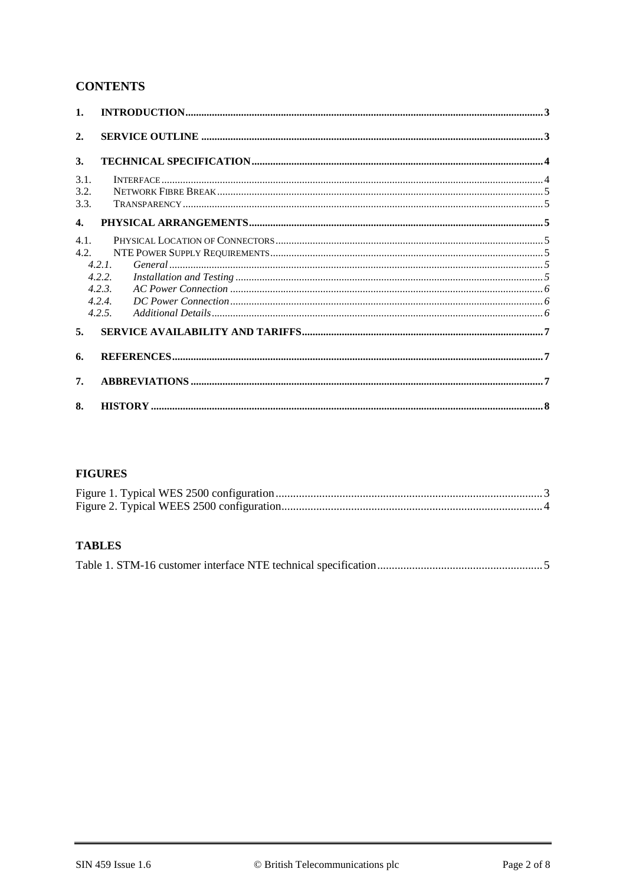#### **CONTENTS**

| $\mathbf{1}$ . |        |  |  |  |  |
|----------------|--------|--|--|--|--|
| 2.             |        |  |  |  |  |
| 3.             |        |  |  |  |  |
| 3.1.           |        |  |  |  |  |
| 3.2.           |        |  |  |  |  |
| 3.3.           |        |  |  |  |  |
| $\mathbf{4}$ . |        |  |  |  |  |
| 4.1.           |        |  |  |  |  |
| 4.2.           |        |  |  |  |  |
|                | 4.2.1  |  |  |  |  |
|                | 4.2.2. |  |  |  |  |
|                | 4.2.3. |  |  |  |  |
|                | 4.2.4. |  |  |  |  |
|                | 4.2.5  |  |  |  |  |
| 5.             |        |  |  |  |  |
| 6.             |        |  |  |  |  |
| 7.             |        |  |  |  |  |
| 8.             |        |  |  |  |  |

#### **FIGURES**

#### **TABLES**

|--|--|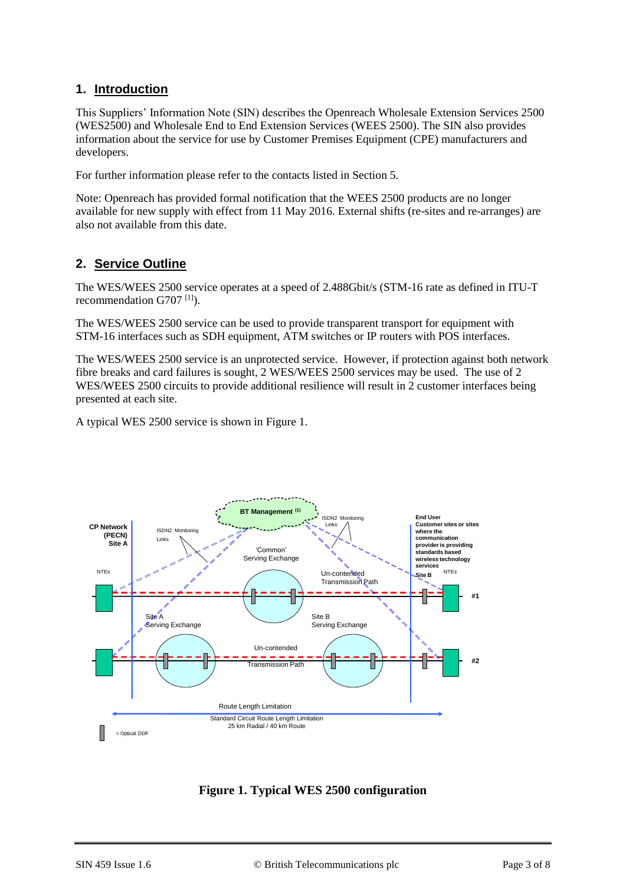#### **1. Introduction**

This Suppliers' Information Note (SIN) describes the Openreach Wholesale Extension Services 2500 (WES2500) and Wholesale End to End Extension Services (WEES 2500). The SIN also provides information about the service for use by Customer Premises Equipment (CPE) manufacturers and developers.

For further information please refer to the contacts listed in Section 5.

Note: Openreach has provided formal notification that the WEES 2500 products are no longer available for new supply with effect from 11 May 2016. External shifts (re-sites and re-arranges) are also not available from this date.

## **2. Service Outline**

The WES/WEES 2500 service operates at a speed of 2.488Gbit/s (STM-16 rate as defined in ITU-T recommendation G707<sup>[\[1\]](#page-6-0)</sup>).

The WES/WEES 2500 service can be used to provide transparent transport for equipment with STM-16 interfaces such as SDH equipment, ATM switches or IP routers with POS interfaces.

The WES/WEES 2500 service is an unprotected service. However, if protection against both network fibre breaks and card failures is sought, 2 WES/WEES 2500 services may be used. The use of 2 WES/WEES 2500 circuits to provide additional resilience will result in 2 customer interfaces being presented at each site.

A typical WES 2500 service is shown in [Figure 1.](#page-2-0)



<span id="page-2-0"></span>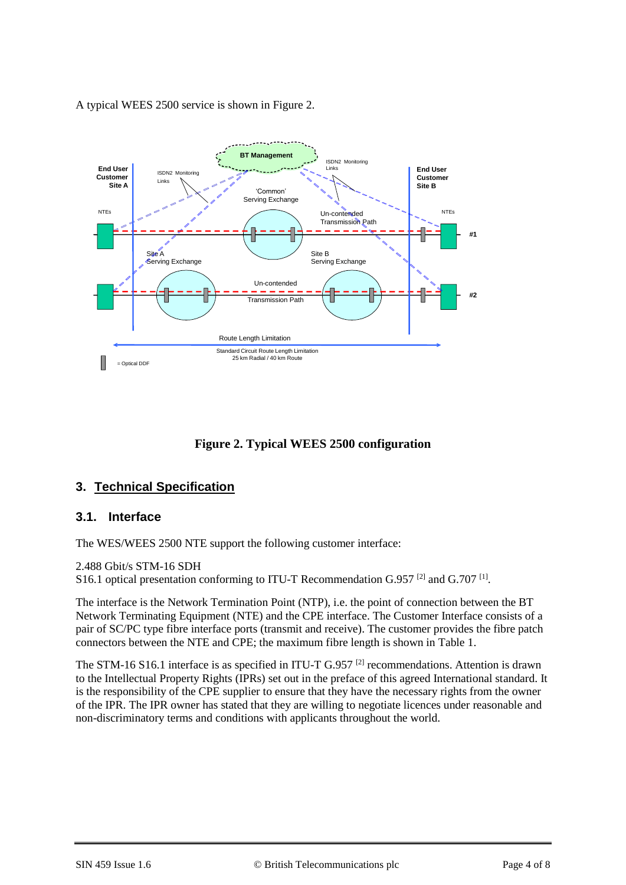A typical WEES 2500 service is shown in [Figure 2.](#page-3-0)



**Figure 2. Typical WEES 2500 configuration**

## <span id="page-3-0"></span>**3. Technical Specification**

#### **3.1. Interface**

The WES/WEES 2500 NTE support the following customer interface:

2.488 Gbit/s STM-16 SDH

S16.1 optical presentation conforming to ITU-T Recommendation G.957<sup>[\[2\]](#page-6-1)</sup> and G.707<sup>[\[1\]](#page-6-0)</sup>.

The interface is the Network Termination Point (NTP), i.e. the point of connection between the BT Network Terminating Equipment (NTE) and the CPE interface. The Customer Interface consists of a pair of SC/PC type fibre interface ports (transmit and receive). The customer provides the fibre patch connectors between the NTE and CPE; the maximum fibre length is shown in [Table 1.](#page-4-0)

The STM-16 S16.1 interface is as specified in ITU-T G.957<sup>[\[2\]](#page-6-1)</sup> recommendations. Attention is drawn to the Intellectual Property Rights (IPRs) set out in the preface of this agreed International standard. It is the responsibility of the CPE supplier to ensure that they have the necessary rights from the owner of the IPR. The IPR owner has stated that they are willing to negotiate licences under reasonable and non-discriminatory terms and conditions with applicants throughout the world.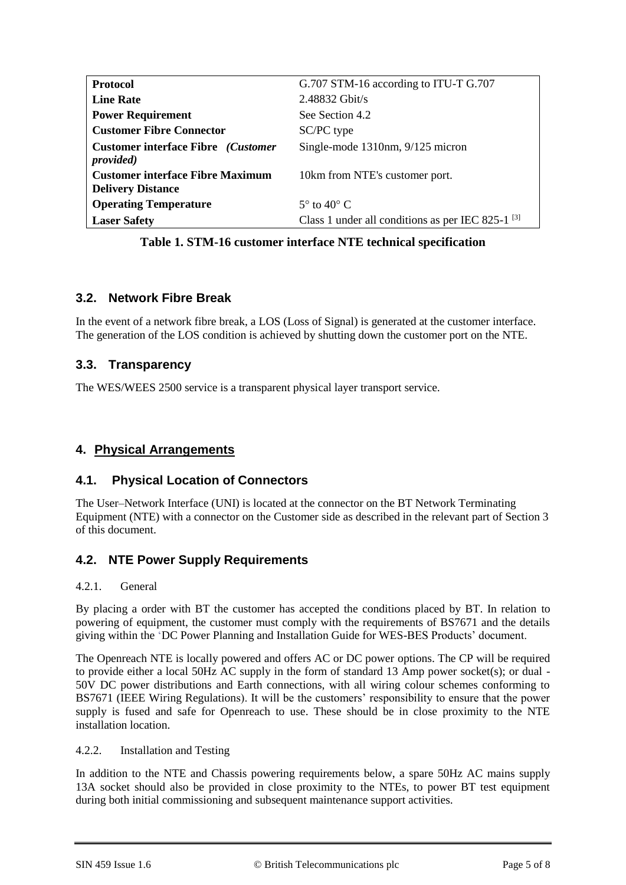| <b>Protocol</b>                           | G.707 STM-16 according to ITU-T G.707                  |
|-------------------------------------------|--------------------------------------------------------|
| <b>Line Rate</b>                          | $2.48832$ Gbit/s                                       |
| <b>Power Requirement</b>                  | See Section 4.2                                        |
| <b>Customer Fibre Connector</b>           | SC/PC type                                             |
| <b>Customer interface Fibre</b> (Customer | Single-mode 1310nm, 9/125 micron                       |
| <i>provided</i> )                         |                                                        |
| <b>Customer interface Fibre Maximum</b>   | 10km from NTE's customer port.                         |
| <b>Delivery Distance</b>                  |                                                        |
| <b>Operating Temperature</b>              | $5^\circ$ to $40^\circ$ C.                             |
| <b>Laser Safety</b>                       | Class 1 under all conditions as per IEC 825-1 $^{[3]}$ |

**Table 1. STM-16 customer interface NTE technical specification**

## <span id="page-4-0"></span>**3.2. Network Fibre Break**

In the event of a network fibre break, a LOS (Loss of Signal) is generated at the customer interface. The generation of the LOS condition is achieved by shutting down the customer port on the NTE.

#### **3.3. Transparency**

The WES/WEES 2500 service is a transparent physical layer transport service.

## **4. Physical Arrangements**

#### **4.1. Physical Location of Connectors**

The User–Network Interface (UNI) is located at the connector on the BT Network Terminating Equipment (NTE) with a connector on the Customer side as described in the relevant part of Section 3 of this document.

## **4.2. NTE Power Supply Requirements**

#### 4.2.1. General

By placing a order with BT the customer has accepted the conditions placed by BT. In relation to powering of equipment, the customer must comply with the requirements of BS7671 and the details giving within the 'DC Power Planning and Installation Guide for WES-BES Products' document.

The Openreach NTE is locally powered and offers AC or DC power options. The CP will be required to provide either a local 50Hz AC supply in the form of standard 13 Amp power socket(s); or dual - 50V DC power distributions and Earth connections, with all wiring colour schemes conforming to BS7671 (IEEE Wiring Regulations). It will be the customers' responsibility to ensure that the power supply is fused and safe for Openreach to use. These should be in close proximity to the NTE installation location.

#### 4.2.2. Installation and Testing

In addition to the NTE and Chassis powering requirements below, a spare 50Hz AC mains supply 13A socket should also be provided in close proximity to the NTEs, to power BT test equipment during both initial commissioning and subsequent maintenance support activities.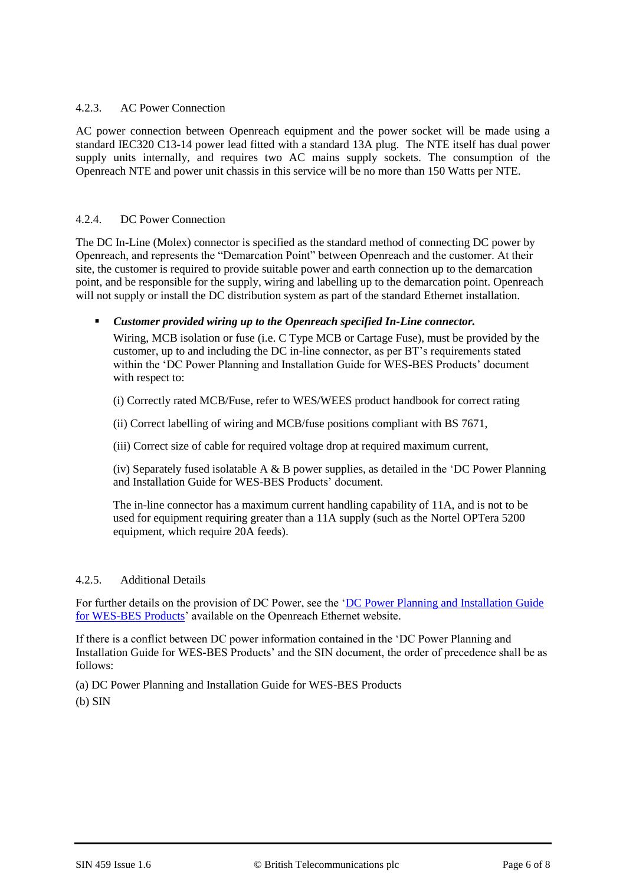#### 4.2.3. AC Power Connection

AC power connection between Openreach equipment and the power socket will be made using a standard IEC320 C13-14 power lead fitted with a standard 13A plug. The NTE itself has dual power supply units internally, and requires two AC mains supply sockets. The consumption of the Openreach NTE and power unit chassis in this service will be no more than 150 Watts per NTE.

#### 4.2.4. DC Power Connection

The DC In-Line (Molex) connector is specified as the standard method of connecting DC power by Openreach, and represents the "Demarcation Point" between Openreach and the customer. At their site, the customer is required to provide suitable power and earth connection up to the demarcation point, and be responsible for the supply, wiring and labelling up to the demarcation point. Openreach will not supply or install the DC distribution system as part of the standard Ethernet installation.

#### *Customer provided wiring up to the Openreach specified In-Line connector.*

Wiring, MCB isolation or fuse (i.e. C Type MCB or Cartage Fuse), must be provided by the customer, up to and including the DC in-line connector, as per BT's requirements stated within the 'DC Power Planning and Installation Guide for WES-BES Products' document with respect to:

(i) Correctly rated MCB/Fuse, refer to WES/WEES product handbook for correct rating

(ii) Correct labelling of wiring and MCB/fuse positions compliant with BS 7671,

(iii) Correct size of cable for required voltage drop at required maximum current,

(iv) Separately fused isolatable A  $\&$  B power supplies, as detailed in the 'DC Power Planning and Installation Guide for WES-BES Products' document.

The in-line connector has a maximum current handling capability of 11A, and is not to be used for equipment requiring greater than a 11A supply (such as the Nortel OPTera 5200 equipment, which require 20A feeds).

#### 4.2.5. Additional Details

For further details on the provision of DC Power, see the 'DC Power Planning and Installation Guide [for WES-BES Products'](https://www.openreach.co.uk/orpg/home/newlogin.do?smauthreason=0&target=http%3A%2F%2Fwww.openreach.co.uk%2Forpg%2Fcustomerzone%2Fproducts%2Fethernetservices%2Fethernetaccessdirect%2Fdescription%2Fsupplementaryinformation%2Fsupplementaryinfo.do&fromMasterHead=1) available on the Openreach Ethernet website.

If there is a conflict between DC power information contained in the 'DC Power Planning and Installation Guide for WES-BES Products' and the SIN document, the order of precedence shall be as follows:

(a) DC Power Planning and Installation Guide for WES-BES Products (b) SIN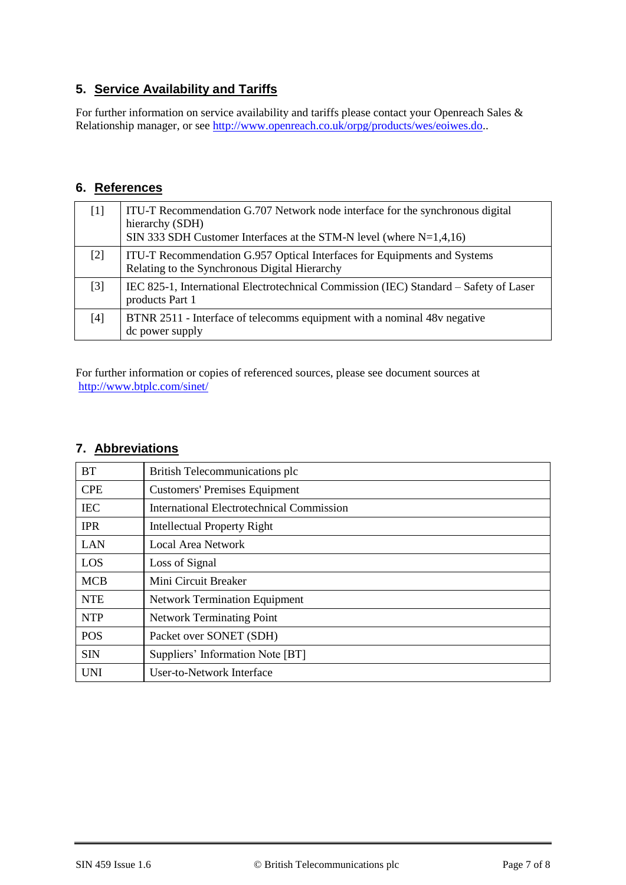## **5. Service Availability and Tariffs**

For further information on service availability and tariffs please contact your Openreach Sales & Relationship manager, or see [http://www.openreach.co.uk/orpg/products/wes/eoiwes.do.](http://www.openreach.co.uk/orpg/products/wes/eoiwes.do).

#### **6. References**

<span id="page-6-2"></span><span id="page-6-1"></span><span id="page-6-0"></span>

|       | ITU-T Recommendation G.707 Network node interface for the synchronous digital<br>hierarchy (SDH)<br>SIN 333 SDH Customer Interfaces at the STM-N level (where $N=1,4,16$ ) |
|-------|----------------------------------------------------------------------------------------------------------------------------------------------------------------------------|
| $[2]$ | ITU-T Recommendation G.957 Optical Interfaces for Equipments and Systems<br>Relating to the Synchronous Digital Hierarchy                                                  |
| $[3]$ | IEC 825-1, International Electrotechnical Commission (IEC) Standard – Safety of Laser<br>products Part 1                                                                   |
| [4]   | BTNR 2511 - Interface of telecomms equipment with a nominal 48y negative<br>dc power supply                                                                                |

For further information or copies of referenced sources, please see document sources at <http://www.btplc.com/sinet/>

## **7. Abbreviations**

| <b>BT</b>  | British Telecommunications plc            |
|------------|-------------------------------------------|
| <b>CPE</b> | <b>Customers' Premises Equipment</b>      |
| <b>IEC</b> | International Electrotechnical Commission |
| <b>IPR</b> | <b>Intellectual Property Right</b>        |
| LAN        | <b>Local Area Network</b>                 |
| LOS        | Loss of Signal                            |
| <b>MCB</b> | Mini Circuit Breaker                      |
| <b>NTE</b> | <b>Network Termination Equipment</b>      |
| <b>NTP</b> | <b>Network Terminating Point</b>          |
| <b>POS</b> | Packet over SONET (SDH)                   |
| <b>SIN</b> | Suppliers' Information Note [BT]          |
| <b>UNI</b> | User-to-Network Interface                 |